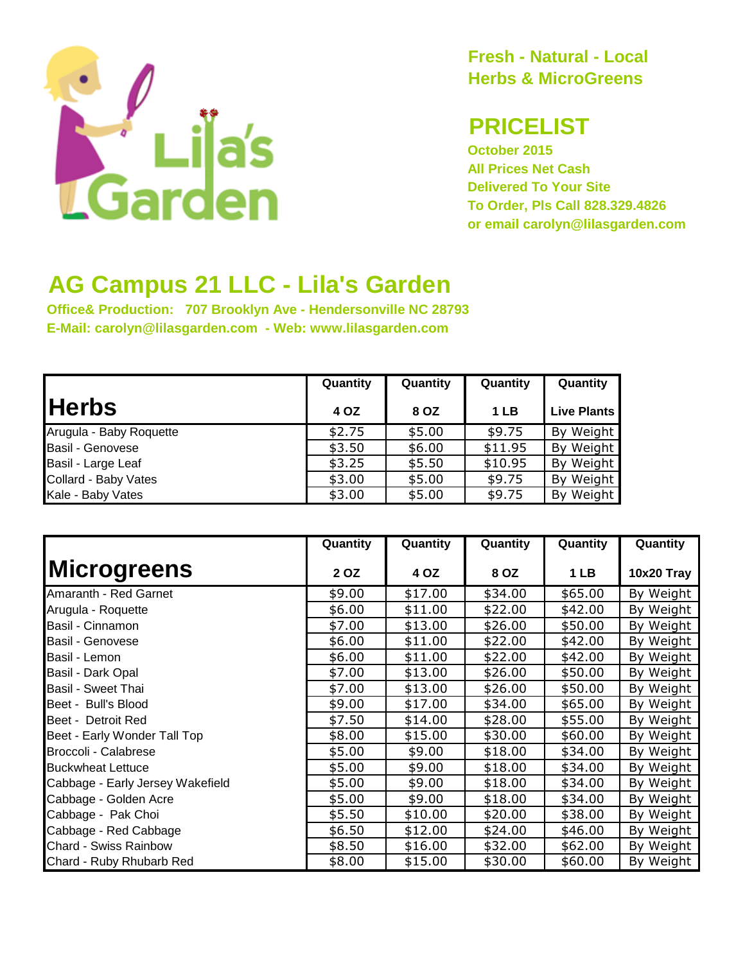

**Fresh - Natural - Local Herbs & MicroGreens**

## **PRICELIST**

**October 2015 All Prices Net Cash Delivered To Your Site To Order, Pls Call 828.329.4826 or email carolyn@lilasgarden.com**

## **AG Campus 21 LLC - Lila's Garden**

**Office& Production: 707 Brooklyn Ave - Hendersonville NC 28793 E-Mail: carolyn@lilasgarden.com - Web: www.lilasgarden.com**

|                         | Quantity | Quantity | Quantity | Quantity           |
|-------------------------|----------|----------|----------|--------------------|
| <b>Herbs</b>            | 4 OZ     | 8 OZ     | 1 LB     | <b>Live Plants</b> |
| Arugula - Baby Roquette | \$2.75   | \$5.00   | \$9.75   | By Weight          |
| Basil - Genovese        | \$3.50   | \$6.00   | \$11.95  | By Weight          |
| Basil - Large Leaf      | \$3.25   | \$5.50   | \$10.95  | By Weight          |
| Collard - Baby Vates    | \$3.00   | \$5.00   | \$9.75   | By Weight          |
| Kale - Baby Vates       | \$3.00   | \$5.00   | \$9.75   | By Weight          |

|                                  | Quantity | Quantity | Quantity | Quantity | Quantity     |
|----------------------------------|----------|----------|----------|----------|--------------|
| <b>Microgreens</b>               | 2 OZ     | 4 OZ     | 8 OZ     | 1 LB     | 10x20 Tray   |
| Amaranth - Red Garnet            | \$9.00   | \$17.00  | \$34.00  | \$65.00  | By Weight    |
| Arugula - Roquette               | \$6.00   | \$11.00  | \$22.00  | \$42.00  | By Weight    |
| Basil - Cinnamon                 | \$7.00   | \$13.00  | \$26.00  | \$50.00  | By Weight    |
| Basil - Genovese                 | \$6.00   | \$11.00  | \$22.00  | \$42.00  | By Weight    |
| Basil - Lemon                    | \$6.00   | \$11.00  | \$22.00  | \$42.00  | By Weight    |
| Basil - Dark Opal                | \$7.00   | \$13.00  | \$26.00  | \$50.00  | By Weight    |
| Basil - Sweet Thai               | \$7.00   | \$13.00  | \$26.00  | \$50.00  | By Weight    |
| Beet - Bull's Blood              | \$9.00   | \$17.00  | \$34.00  | \$65.00  | By Weight    |
| Beet - Detroit Red               | \$7.50   | \$14.00  | \$28.00  | \$55.00  | By Weight    |
| Beet - Early Wonder Tall Top     | \$8.00   | \$15.00  | \$30.00  | \$60.00  | By<br>Weight |
| Broccoli - Calabrese             | \$5.00   | \$9.00   | \$18.00  | \$34.00  | By Weight    |
| <b>Buckwheat Lettuce</b>         | \$5.00   | \$9.00   | \$18.00  | \$34.00  | By Weight    |
| Cabbage - Early Jersey Wakefield | \$5.00   | \$9.00   | \$18.00  | \$34.00  | By Weight    |
| Cabbage - Golden Acre            | \$5.00   | \$9.00   | \$18.00  | \$34.00  | By<br>Weight |
| Cabbage - Pak Choi               | \$5.50   | \$10.00  | \$20.00  | \$38.00  | By Weight    |
| Cabbage - Red Cabbage            | \$6.50   | \$12.00  | \$24.00  | \$46.00  | By Weight    |
| Chard - Swiss Rainbow            | \$8.50   | \$16.00  | \$32.00  | \$62.00  | By Weight    |
| Chard - Ruby Rhubarb Red         | \$8.00   | \$15.00  | \$30.00  | \$60.00  | By Weight    |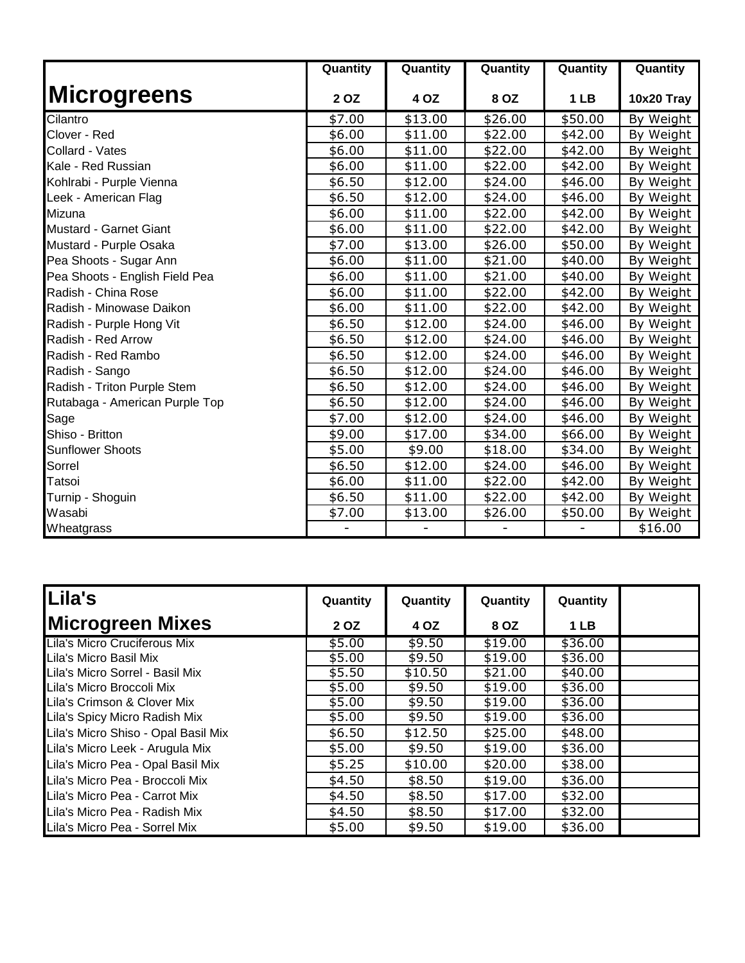|                                | Quantity | Quantity | Quantity | Quantity        | Quantity   |
|--------------------------------|----------|----------|----------|-----------------|------------|
| <b>Microgreens</b>             | 2 OZ     | 4 OZ     | 8 OZ     | 1 <sub>LB</sub> | 10x20 Tray |
| Cilantro                       | \$7.00   | \$13.00  | \$26.00  | \$50.00         | By Weight  |
| Clover - Red                   | \$6.00   | \$11.00  | \$22.00  | \$42.00         | By Weight  |
| Collard - Vates                | \$6.00   | \$11.00  | \$22.00  | \$42.00         | By Weight  |
| Kale - Red Russian             | \$6.00   | \$11.00  | \$22.00  | \$42.00         | By Weight  |
| Kohlrabi - Purple Vienna       | \$6.50   | \$12.00  | \$24.00  | \$46.00         | By Weight  |
| Leek - American Flag           | \$6.50   | \$12.00  | \$24.00  | \$46.00         | By Weight  |
| Mizuna                         | \$6.00   | \$11.00  | \$22.00  | \$42.00         | By Weight  |
| Mustard - Garnet Giant         | \$6.00   | \$11.00  | \$22.00  | \$42.00         | By Weight  |
| Mustard - Purple Osaka         | \$7.00   | \$13.00  | \$26.00  | \$50.00         | By Weight  |
| Pea Shoots - Sugar Ann         | \$6.00   | \$11.00  | \$21.00  | \$40.00         | By Weight  |
| Pea Shoots - English Field Pea | \$6.00   | \$11.00  | \$21.00  | \$40.00         | By Weight  |
| Radish - China Rose            | \$6.00   | \$11.00  | \$22.00  | \$42.00         | By Weight  |
| Radish - Minowase Daikon       | \$6.00   | \$11.00  | \$22.00  | \$42.00         | By Weight  |
| Radish - Purple Hong Vit       | \$6.50   | \$12.00  | \$24.00  | \$46.00         | By Weight  |
| Radish - Red Arrow             | \$6.50   | \$12.00  | \$24.00  | \$46.00         | By Weight  |
| Radish - Red Rambo             | \$6.50   | \$12.00  | \$24.00  | \$46.00         | By Weight  |
| Radish - Sango                 | \$6.50   | \$12.00  | \$24.00  | \$46.00         | By Weight  |
| Radish - Triton Purple Stem    | \$6.50   | \$12.00  | \$24.00  | \$46.00         | By Weight  |
| Rutabaga - American Purple Top | \$6.50   | \$12.00  | \$24.00  | \$46.00         | By Weight  |
| Sage                           | \$7.00   | \$12.00  | \$24.00  | \$46.00         | By Weight  |
| Shiso - Britton                | \$9.00   | \$17.00  | \$34.00  | \$66.00         | By Weight  |
| <b>Sunflower Shoots</b>        | \$5.00   | \$9.00   | \$18.00  | \$34.00         | By Weight  |
| Sorrel                         | \$6.50   | \$12.00  | \$24.00  | \$46.00         | By Weight  |
| Tatsoi                         | \$6.00   | \$11.00  | \$22.00  | \$42.00         | By Weight  |
| Turnip - Shoguin               | \$6.50   | \$11.00  | \$22.00  | \$42.00         | By Weight  |
| Wasabi                         | \$7.00   | \$13.00  | \$26.00  | \$50.00         | By Weight  |
| Wheatgrass                     |          |          |          |                 | \$16.00    |

| Lila's                              | Quantity | Quantity | Quantity | Quantity |  |
|-------------------------------------|----------|----------|----------|----------|--|
| <b>Microgreen Mixes</b>             | 2 OZ     | 4 OZ     | 8 OZ     | 1 LB     |  |
| Lila's Micro Cruciferous Mix        | \$5.00   | \$9.50   | \$19.00  | \$36.00  |  |
| Lila's Micro Basil Mix              | \$5.00   | \$9.50   | \$19.00  | \$36.00  |  |
| Lila's Micro Sorrel - Basil Mix     | \$5.50   | \$10.50  | \$21.00  | \$40.00  |  |
| Lila's Micro Broccoli Mix           | \$5.00   | \$9.50   | \$19.00  | \$36.00  |  |
| Lila's Crimson & Clover Mix         | \$5.00   | \$9.50   | \$19.00  | \$36.00  |  |
| Lila's Spicy Micro Radish Mix       | \$5.00   | \$9.50   | \$19.00  | \$36.00  |  |
| Lila's Micro Shiso - Opal Basil Mix | \$6.50   | \$12.50  | \$25.00  | \$48.00  |  |
| Lila's Micro Leek - Arugula Mix     | \$5.00   | \$9.50   | \$19.00  | \$36.00  |  |
| Lila's Micro Pea - Opal Basil Mix   | \$5.25   | \$10.00  | \$20.00  | \$38.00  |  |
| Lila's Micro Pea - Broccoli Mix     | \$4.50   | \$8.50   | \$19.00  | \$36.00  |  |
| Lila's Micro Pea - Carrot Mix       | \$4.50   | \$8.50   | \$17.00  | \$32.00  |  |
| Lila's Micro Pea - Radish Mix       | \$4.50   | \$8.50   | \$17.00  | \$32.00  |  |
| Lila's Micro Pea - Sorrel Mix       | \$5.00   | \$9.50   | \$19.00  | \$36.00  |  |